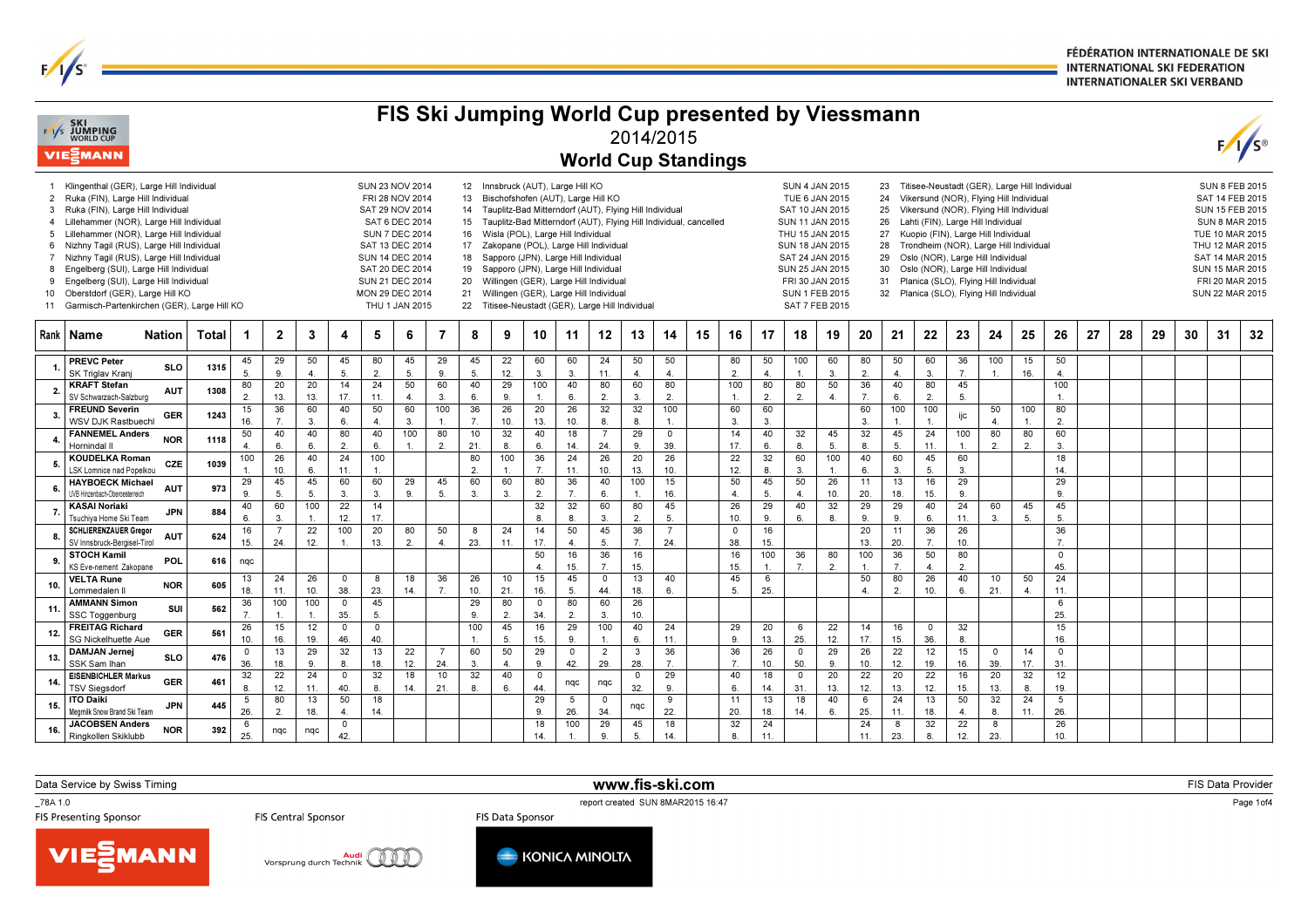FÉDÉRATION INTERNATIONALE DE SKI **INTERNATIONAL SKI FEDERATION INTERNATIONALER SKI VERBAND** 

|                                                    | <b>EXI SKI</b><br>EXIS JUMPING<br>WORLD CUP                                                                                                                                                                                                                                                                                                                                                                                                                                       |            |       |                      |                |                                                                                                                                                                                                                                                                                                                                                                                                                                                                                                                                                                                                                                                                                                                                                                                                                                                                                                                                                                                                                                                                                                                                                                                                                                                                                                                                                                                                                                                                                                                          |                      |                      |                      |                       |                      |                    |                      |                      |                                  | 2014/2015            |                      | FIS Ski Jumping World Cup presented by Viessmann |                     |                      |                        |                                                                                                                                                                                                                      |                      |                       |                |                        |           |                |                        |    |    |    |    |    | $F/\sqrt{s}$ |
|----------------------------------------------------|-----------------------------------------------------------------------------------------------------------------------------------------------------------------------------------------------------------------------------------------------------------------------------------------------------------------------------------------------------------------------------------------------------------------------------------------------------------------------------------|------------|-------|----------------------|----------------|--------------------------------------------------------------------------------------------------------------------------------------------------------------------------------------------------------------------------------------------------------------------------------------------------------------------------------------------------------------------------------------------------------------------------------------------------------------------------------------------------------------------------------------------------------------------------------------------------------------------------------------------------------------------------------------------------------------------------------------------------------------------------------------------------------------------------------------------------------------------------------------------------------------------------------------------------------------------------------------------------------------------------------------------------------------------------------------------------------------------------------------------------------------------------------------------------------------------------------------------------------------------------------------------------------------------------------------------------------------------------------------------------------------------------------------------------------------------------------------------------------------------------|----------------------|----------------------|----------------------|-----------------------|----------------------|--------------------|----------------------|----------------------|----------------------------------|----------------------|----------------------|--------------------------------------------------|---------------------|----------------------|------------------------|----------------------------------------------------------------------------------------------------------------------------------------------------------------------------------------------------------------------|----------------------|-----------------------|----------------|------------------------|-----------|----------------|------------------------|----|----|----|----|----|--------------|
|                                                    | VIESMANN                                                                                                                                                                                                                                                                                                                                                                                                                                                                          |            |       |                      |                |                                                                                                                                                                                                                                                                                                                                                                                                                                                                                                                                                                                                                                                                                                                                                                                                                                                                                                                                                                                                                                                                                                                                                                                                                                                                                                                                                                                                                                                                                                                          |                      |                      |                      |                       |                      |                    |                      |                      |                                  |                      |                      | <b>World Cup Standings</b>                       |                     |                      |                        |                                                                                                                                                                                                                      |                      |                       |                |                        |           |                |                        |    |    |    |    |    |              |
| 3<br>$\overline{4}$<br>5<br>6<br>7<br>8<br>9<br>10 | 1 Klingenthal (GER), Large Hill Individual<br>2 Ruka (FIN), Large Hill Individual<br>Ruka (FIN), Large Hill Individual<br>Lillehammer (NOR), Large Hill Individual<br>Lillehammer (NOR), Large Hill Individual<br>Nizhny Tagil (RUS), Large Hill Individual<br>Nizhny Tagil (RUS), Large Hill Individual<br>Engelberg (SUI), Large Hill Individual<br>Engelberg (SUI), Large Hill Individual<br>Oberstdorf (GER), Large Hill KO<br>11 Garmisch-Partenkirchen (GER), Large Hill KO |            |       |                      |                | Titisee-Neustadt (GER), Large Hill Individual<br><b>SUN 23 NOV 2014</b><br>12 Innsbruck (AUT), Large Hill KO<br><b>SUN 4 JAN 2015</b><br>23<br>Vikersund (NOR). Flying Hill Individua<br>FRI 28 NOV 2014<br>13<br>Bischofshofen (AUT), Large Hill KO<br>TUE 6 JAN 2015<br>24<br>Vikersund (NOR), Flying Hill Individual<br>SAT 29 NOV 2014<br>14<br>Tauplitz-Bad Mitterndorf (AUT), Flying Hill Individual<br>SAT 10 JAN 2015<br>25<br>SAT 6 DEC 2014<br>Tauplitz-Bad Mitterndorf (AUT), Flying Hill Individual, cancelled<br>Lahti (FIN), Large Hill Individual<br>15<br>SUN 11 JAN 2015<br>26<br><b>SUN 7 DEC 2014</b><br>Wisla (POL), Large Hill Individual<br>16<br>THU 15 JAN 2015<br>27<br>Kuopio (FIN), Large Hill Individual<br>SAT 13 DEC 2014<br>17<br>Zakopane (POL), Large Hill Individual<br>SUN 18 JAN 2015<br>28<br>Trondheim (NOR), Large Hill Individual<br><b>SUN 14 DEC 2014</b><br>Sapporo (JPN), Large Hill Individual<br>SAT 24 JAN 2015<br>Oslo (NOR), Large Hill Individual<br>18<br>29<br>SAT 20 DEC 2014<br>19<br>Sapporo (JPN), Large Hill Individual<br>SUN 25 JAN 2015<br>Oslo (NOR), Large Hill Individual<br>30<br>SUN 21 DEC 2014<br>20<br>Willingen (GER), Large Hill Individual<br>FRI 30 JAN 2015<br>Planica (SLO), Flying Hill Individua<br>31<br>21<br>Willingen (GER), Large Hill Individual<br>MON 29 DEC 2014<br><b>SUN 1 FEB 2015</b><br>32<br>Planica (SLO), Flying Hill Individual<br>THU 1 JAN 2015<br>22<br>Titisee-Neustadt (GER), Large Hill Individual<br>SAT 7 FEB 2015 |                      |                      |                      |                       |                      |                    |                      |                      |                                  |                      |                      |                                                  |                     |                      |                        | <b>SUN 8 FEB 2015</b><br>SAT 14 FEB 2015<br><b>SUN 15 FEB 2015</b><br><b>SUN 8 MAR 2015</b><br><b>TUE 10 MAR 2015</b><br>THU 12 MAR 2015<br>SAT 14 MAR 2015<br>SUN 15 MAR 2015<br>FRI 20 MAR 2015<br>SUN 22 MAR 2015 |                      |                       |                |                        |           |                |                        |    |    |    |    |    |              |
|                                                    | Rank I Name                                                                                                                                                                                                                                                                                                                                                                                                                                                                       | Natior     | Total | -1                   | $\mathbf{2}$   | 3                                                                                                                                                                                                                                                                                                                                                                                                                                                                                                                                                                                                                                                                                                                                                                                                                                                                                                                                                                                                                                                                                                                                                                                                                                                                                                                                                                                                                                                                                                                        | 4                    | 5                    | 6                    | 7                     | 8                    | 9                  | 10                   | 11                   | 12                               | 13                   | 14                   | 15                                               | 16                  | 17                   | 18                     | 19                                                                                                                                                                                                                   | 20                   | 21                    | 22             | 23                     | 24        | 25             | 26                     | 27 | 28 | 29 | 30 | 31 | 32           |
|                                                    | <b>PREVC Peter</b><br>SK Triglav Kranj                                                                                                                                                                                                                                                                                                                                                                                                                                            | <b>SLO</b> | 1315  | 45<br>5.             | 29<br>9        | 50<br>4                                                                                                                                                                                                                                                                                                                                                                                                                                                                                                                                                                                                                                                                                                                                                                                                                                                                                                                                                                                                                                                                                                                                                                                                                                                                                                                                                                                                                                                                                                                  | 45<br>5.             | 80<br>$\overline{2}$ | 45<br>5.             | 29<br>9.              | 45<br>5.             | 22<br>12.          | 60<br>3.             | 60<br>3.             | 24<br>11.                        | 50<br>$\overline{4}$ | 50<br>$\overline{4}$ |                                                  | 80<br>2.            | 50<br>$\overline{4}$ | 100<br>1               | 60<br>3                                                                                                                                                                                                              | 80<br>2.             | 50<br>$\overline{4}$  | 60<br>3.       | 36<br>7.               | 100       | 15<br>16.      | 50<br>4.               |    |    |    |    |    |              |
|                                                    | <b>KRAFT Stefan</b>                                                                                                                                                                                                                                                                                                                                                                                                                                                               | <b>AUT</b> | 1308  | 80                   | 20             | 20                                                                                                                                                                                                                                                                                                                                                                                                                                                                                                                                                                                                                                                                                                                                                                                                                                                                                                                                                                                                                                                                                                                                                                                                                                                                                                                                                                                                                                                                                                                       | 14                   | 24                   | 50                   | 60                    | 40                   | 29                 | 100                  | 40                   | 80                               | 60                   | 80                   |                                                  | 100                 | 80                   | 80                     | 50                                                                                                                                                                                                                   | 36                   | 40                    | 80             | 45                     |           |                | 100                    |    |    |    |    |    |              |
|                                                    | SV Schwarzach-Salzburg<br><b>FREUND Severin</b>                                                                                                                                                                                                                                                                                                                                                                                                                                   |            |       | 2.<br>15             | 13.<br>36      | 13.<br>60                                                                                                                                                                                                                                                                                                                                                                                                                                                                                                                                                                                                                                                                                                                                                                                                                                                                                                                                                                                                                                                                                                                                                                                                                                                                                                                                                                                                                                                                                                                | 17.<br>40            | 11.<br>50            | $\overline{4}$<br>60 | $\overline{3}$<br>100 | 6.<br>36             | 9.<br>26           | $\mathbf{1}$<br>20   | 6.<br>26             | 2.<br>32                         | 3<br>32              | 2.<br>100            |                                                  | $\mathbf{1}$<br>60  | $\overline{2}$<br>60 | 2.                     | $\overline{4}$                                                                                                                                                                                                       | $\overline{7}$<br>60 | 6.<br>100             | 2.<br>100      | 5.                     | 50        | 100            | $\mathbf{1}$<br>80     |    |    |    |    |    |              |
|                                                    | WSV DJK Rastbuechl                                                                                                                                                                                                                                                                                                                                                                                                                                                                | GER        | 1243  | 16.                  | $\overline{7}$ | $\mathbf{3}$                                                                                                                                                                                                                                                                                                                                                                                                                                                                                                                                                                                                                                                                                                                                                                                                                                                                                                                                                                                                                                                                                                                                                                                                                                                                                                                                                                                                                                                                                                             | 6.                   | $\overline{4}$       | $\overline{3}$       | $\mathbf{1}$          | $\overline{7}$       | 10.                | 13.                  | 10.                  | 8.                               | 8                    | $\mathbf{1}$         |                                                  | $\overline{3}$      | $\mathbf{3}$         |                        |                                                                                                                                                                                                                      | 3.                   | $\mathbf{1}$          |                | ijc                    | 4         |                | $\overline{2}$         |    |    |    |    |    |              |
|                                                    | <b>FANNEMEL Anders</b><br>Hornindal                                                                                                                                                                                                                                                                                                                                                                                                                                               | <b>NOR</b> | 1118  | 50<br>$\overline{4}$ | 40<br>6        | 40<br>6                                                                                                                                                                                                                                                                                                                                                                                                                                                                                                                                                                                                                                                                                                                                                                                                                                                                                                                                                                                                                                                                                                                                                                                                                                                                                                                                                                                                                                                                                                                  | 80<br>$\overline{2}$ | 40<br>6              | 100                  | 80<br>$\overline{2}$  | 10<br>21             | 32<br>8.           | 40<br>6.             | 18<br>14.            | -7<br>24.                        | 29<br>9.             | $\circ$<br>39.       |                                                  | 14<br>17.           | 40<br>6.             | 32<br>8.               | 45<br>5.                                                                                                                                                                                                             | 32<br>8.             | 45<br>5.              | 24<br>11.      | 100                    | 80<br>2.  | 80<br>2.       | 60<br>3.               |    |    |    |    |    |              |
|                                                    | <b>KOUDELKA Roman</b>                                                                                                                                                                                                                                                                                                                                                                                                                                                             | CZE        | 1039  | 100                  | 26             | 40                                                                                                                                                                                                                                                                                                                                                                                                                                                                                                                                                                                                                                                                                                                                                                                                                                                                                                                                                                                                                                                                                                                                                                                                                                                                                                                                                                                                                                                                                                                       | 24                   | 100                  |                      |                       | 80                   | 100                | 36                   | 24                   | 26                               | 20                   | $\overline{26}$      |                                                  | 22                  | 32                   | 60                     | 100                                                                                                                                                                                                                  | 40                   | 60                    | 45             | 60                     |           |                | 18                     |    |    |    |    |    |              |
|                                                    | <b>LSK Lomnice nad Popelkou</b><br><b>HAYBOECK Michael</b>                                                                                                                                                                                                                                                                                                                                                                                                                        |            |       | $\overline{1}$<br>29 | 10.<br>45      | 6<br>45                                                                                                                                                                                                                                                                                                                                                                                                                                                                                                                                                                                                                                                                                                                                                                                                                                                                                                                                                                                                                                                                                                                                                                                                                                                                                                                                                                                                                                                                                                                  | 11<br>60             | $\mathbf{1}$<br>60   | 29                   | 45                    | $\overline{2}$<br>60 | $\mathbf{1}$<br>60 | $\overline{7}$<br>80 | 11.<br>36            | 10.<br>40                        | 13.<br>100           | 10.<br>15            |                                                  | 12.<br>50           | 8<br>45              | 3.<br>50               | $\mathbf{1}$<br>26                                                                                                                                                                                                   | 6.<br>11             | 3.<br>13              | 5.<br>16       | 3.<br>29               |           |                | 14.<br>29              |    |    |    |    |    |              |
|                                                    | UVB Hinzenbach-Oberoesterreich                                                                                                                                                                                                                                                                                                                                                                                                                                                    | <b>AUT</b> | 973   | $\mathbf{q}$         | 5              | 5                                                                                                                                                                                                                                                                                                                                                                                                                                                                                                                                                                                                                                                                                                                                                                                                                                                                                                                                                                                                                                                                                                                                                                                                                                                                                                                                                                                                                                                                                                                        | $\overline{3}$       | 3.                   | 9.                   | 5.                    | $\overline{3}$       | $\overline{3}$     | $\overline{2}$       | $\overline{7}$       | 6                                | $\overline{1}$       | 16.                  |                                                  | $\overline{4}$      | 5.                   | $\overline{4}$         | 10.                                                                                                                                                                                                                  | 20.                  | 18.                   | 15.            | 9.                     |           |                | 9.                     |    |    |    |    |    |              |
|                                                    | <b>KASAI Noriaki</b>                                                                                                                                                                                                                                                                                                                                                                                                                                                              | <b>JPN</b> | 884   | 40                   | 60             | 100                                                                                                                                                                                                                                                                                                                                                                                                                                                                                                                                                                                                                                                                                                                                                                                                                                                                                                                                                                                                                                                                                                                                                                                                                                                                                                                                                                                                                                                                                                                      | 22                   | 14                   |                      |                       |                      |                    | 32                   | 32                   | 60                               | 80                   | 45                   |                                                  | 26                  | 29                   | 40                     | 32                                                                                                                                                                                                                   | 29                   | 29                    | 40             | 24                     | 60        | 45             | 45                     |    |    |    |    |    |              |
|                                                    | Tsuchiva Home Ski Team<br><b>SCHLIERENZAUER Gregor</b>                                                                                                                                                                                                                                                                                                                                                                                                                            |            |       | 6.<br>16             | 3<br>7         | 22                                                                                                                                                                                                                                                                                                                                                                                                                                                                                                                                                                                                                                                                                                                                                                                                                                                                                                                                                                                                                                                                                                                                                                                                                                                                                                                                                                                                                                                                                                                       | 12.<br>100           | 17.<br>20            | 80                   | 50                    | 8                    | 24                 | 8<br>14              | 8<br>50              | 3.<br>45                         | $\overline{2}$<br>36 | 5.<br>$\overline{7}$ |                                                  | 10.<br>$\mathsf{o}$ | 9.<br>16             | 6.                     | 8                                                                                                                                                                                                                    | 9<br>20              | 9.<br>11              | 6.<br>36       | 11.<br>26              | 3.        | 5.             | 5.<br>36               |    |    |    |    |    |              |
|                                                    | SV Innsbruck-Bergisel-Tirol                                                                                                                                                                                                                                                                                                                                                                                                                                                       | AU1        | 624   | 15.                  | 24.            | 12.                                                                                                                                                                                                                                                                                                                                                                                                                                                                                                                                                                                                                                                                                                                                                                                                                                                                                                                                                                                                                                                                                                                                                                                                                                                                                                                                                                                                                                                                                                                      | $\overline{1}$       | 13.                  | 2.                   | 4.                    | 23.                  | 11.                | 17.                  | $\overline{4}$       | 5.                               | $\overline{7}$       | 24.                  |                                                  | 38.                 | 15.                  |                        |                                                                                                                                                                                                                      | 13.                  | 20.                   | 7.             | 10.                    |           |                | 7.                     |    |    |    |    |    |              |
|                                                    | <b>STOCH Kamil</b><br>KS Eve-nement Zakopane                                                                                                                                                                                                                                                                                                                                                                                                                                      | <b>POL</b> | 616   | nqc                  |                |                                                                                                                                                                                                                                                                                                                                                                                                                                                                                                                                                                                                                                                                                                                                                                                                                                                                                                                                                                                                                                                                                                                                                                                                                                                                                                                                                                                                                                                                                                                          |                      |                      |                      |                       |                      |                    | 50<br>$\overline{4}$ | 16<br>15.            | 36<br>$\overline{7}$ .           | 16<br>15.            |                      |                                                  | 16<br>15.           | 100<br>$\mathbf{1}$  | 36<br>$\overline{7}$ . | 80<br>2.                                                                                                                                                                                                             | 100<br>$\mathbf{1}$  | $\overline{36}$<br>7. | 50<br>$\Delta$ | 80<br>2.               |           |                | 0<br>45.               |    |    |    |    |    |              |
|                                                    | <b>VELTA Rune</b>                                                                                                                                                                                                                                                                                                                                                                                                                                                                 | <b>NOR</b> | 605   | 13                   | 24             | 26                                                                                                                                                                                                                                                                                                                                                                                                                                                                                                                                                                                                                                                                                                                                                                                                                                                                                                                                                                                                                                                                                                                                                                                                                                                                                                                                                                                                                                                                                                                       | $\Omega$             | 8                    | 18                   | 36                    | 26                   | 10                 | 15                   | 45                   | $\mathbf 0$                      | 13                   | 40                   |                                                  | 45                  | 6                    |                        |                                                                                                                                                                                                                      | 50                   | 80                    | 26             | 40                     | 10        | 50             | 24                     |    |    |    |    |    |              |
|                                                    | Lommedalen II                                                                                                                                                                                                                                                                                                                                                                                                                                                                     |            |       | 18.                  | 11.            | 10.                                                                                                                                                                                                                                                                                                                                                                                                                                                                                                                                                                                                                                                                                                                                                                                                                                                                                                                                                                                                                                                                                                                                                                                                                                                                                                                                                                                                                                                                                                                      | 38.                  | 23.                  | 14.                  | $\overline{7}$        | 10.                  | 21.                | 16.                  | 5.                   | 44.                              | 18.                  | 6.                   |                                                  | 5.                  | 25.                  |                        |                                                                                                                                                                                                                      | $\overline{4}$       | $\overline{2}$        | 10.            | 6.                     | 21.       | $\overline{4}$ | 11.                    |    |    |    |    |    |              |
| 11                                                 | <b>AMMANN Simon</b><br>SSC Toggenburg                                                                                                                                                                                                                                                                                                                                                                                                                                             | SUI        | 562   | 36<br>$\overline{7}$ | 100            | 100                                                                                                                                                                                                                                                                                                                                                                                                                                                                                                                                                                                                                                                                                                                                                                                                                                                                                                                                                                                                                                                                                                                                                                                                                                                                                                                                                                                                                                                                                                                      | $\mathbf 0$<br>35.   | 45<br>5.             |                      |                       | 29<br>9.             | 80<br>2.           | 0<br>34.             | 80<br>$\overline{2}$ | 60<br>3.                         | 26<br>10.            |                      |                                                  |                     |                      |                        |                                                                                                                                                                                                                      |                      |                       |                |                        |           |                | 6<br>25.               |    |    |    |    |    |              |
|                                                    | <b>FREITAG Richard</b>                                                                                                                                                                                                                                                                                                                                                                                                                                                            | <b>GER</b> | 561   | 26                   | 15             | 12                                                                                                                                                                                                                                                                                                                                                                                                                                                                                                                                                                                                                                                                                                                                                                                                                                                                                                                                                                                                                                                                                                                                                                                                                                                                                                                                                                                                                                                                                                                       | $\mathbf 0$          | $\mathsf 0$          |                      |                       | 100                  | 45                 | 16                   | 29                   | 100                              | 40                   | 24                   |                                                  | 29                  | 20                   | 6                      | 22                                                                                                                                                                                                                   | 14                   | 16                    | 0              | 32                     |           |                | 15                     |    |    |    |    |    |              |
|                                                    | <b>SG Nickelhuette Aue</b><br><b>DAMJAN Jernej</b>                                                                                                                                                                                                                                                                                                                                                                                                                                |            |       | 10.<br>$\Omega$      | 16.<br>13      | 19.<br>29                                                                                                                                                                                                                                                                                                                                                                                                                                                                                                                                                                                                                                                                                                                                                                                                                                                                                                                                                                                                                                                                                                                                                                                                                                                                                                                                                                                                                                                                                                                | 46.<br>32            | 40.<br>13            | 22                   | $\overline{7}$        | 60                   | 5.<br>50           | 15.<br>29            | 9<br>$\Omega$        | $\overline{1}$<br>$\overline{2}$ | 6.<br>3              | 11.<br>36            |                                                  | 9.<br>36            | 13.<br>26            | 25.<br>$\mathsf{o}$    | 12.<br>29                                                                                                                                                                                                            | 17.<br>26            | 15.<br>22             | 36.<br>12      | 8.<br>15               | 0         | 14             | 16.<br>$\mathsf{O}$    |    |    |    |    |    |              |
|                                                    | SSK Sam Ihan                                                                                                                                                                                                                                                                                                                                                                                                                                                                      | <b>SLO</b> | 476   | 36                   | 18.            | 9                                                                                                                                                                                                                                                                                                                                                                                                                                                                                                                                                                                                                                                                                                                                                                                                                                                                                                                                                                                                                                                                                                                                                                                                                                                                                                                                                                                                                                                                                                                        | 8                    | 18.                  | 12.                  | 24.                   | $\overline{3}$       | $\overline{4}$     | 9.                   | 42.                  | 29.                              | 28                   | $\overline{7}$       |                                                  | $\overline{7}$      | 10.                  | 50.                    | 9.                                                                                                                                                                                                                   | 10.                  | 12.                   | 19.            | 16.                    | 39.       | 17.            | 31.                    |    |    |    |    |    |              |
|                                                    | <b>EISENBICHLER Markus</b>                                                                                                                                                                                                                                                                                                                                                                                                                                                        | <b>GER</b> | 461   | 32                   | 22             | 24                                                                                                                                                                                                                                                                                                                                                                                                                                                                                                                                                                                                                                                                                                                                                                                                                                                                                                                                                                                                                                                                                                                                                                                                                                                                                                                                                                                                                                                                                                                       | 0                    | 32                   | 18                   | 10                    | 32                   | 40                 | $\mathbf 0$          | nqc                  | nqc                              | $\mathbf 0$          | 29                   |                                                  | 40                  | 18                   | $\mathsf{o}$           | 20                                                                                                                                                                                                                   | 22                   | 20                    | 22             | 16                     | 20        | 32             | 12                     |    |    |    |    |    |              |
|                                                    | <b>TSV Siegsdorf</b><br><b>ITO Daiki</b>                                                                                                                                                                                                                                                                                                                                                                                                                                          |            |       | 8.<br>5              | 12.<br>80      | 11.<br>13                                                                                                                                                                                                                                                                                                                                                                                                                                                                                                                                                                                                                                                                                                                                                                                                                                                                                                                                                                                                                                                                                                                                                                                                                                                                                                                                                                                                                                                                                                                | 40.<br>50            | 8.<br>18             | 14.                  | 21                    | 8.                   | 6.                 | 44.<br>29            | 5                    | $\overline{\mathbf{0}}$          | 32.                  | 9.<br>9              |                                                  | 6.<br>11            | 14.<br>13            | 31.<br>18              | 13.<br>40                                                                                                                                                                                                            | 12.<br>6             | 13.<br>24             | 12.<br>13      | 15.<br>50              | 13.<br>32 | 8.<br>24       | 19.<br>5               |    |    |    |    |    |              |
|                                                    | Meamilk Snow Brand Ski Team                                                                                                                                                                                                                                                                                                                                                                                                                                                       | <b>JPN</b> | 445   | 26                   | $\overline{2}$ | 18.                                                                                                                                                                                                                                                                                                                                                                                                                                                                                                                                                                                                                                                                                                                                                                                                                                                                                                                                                                                                                                                                                                                                                                                                                                                                                                                                                                                                                                                                                                                      | $\overline{4}$       | 14.                  |                      |                       |                      |                    | 9                    | 26.                  | 34.                              | nqc                  | 22                   |                                                  | 20                  | 18.                  | 14.                    | 6.                                                                                                                                                                                                                   | 25.                  | 11.                   | 18.            | $\overline{4}$         | 8.        | 11.            | 26.                    |    |    |    |    |    |              |
|                                                    | <b>JACOBSEN Anders</b><br>Ringkollen Skiklubb                                                                                                                                                                                                                                                                                                                                                                                                                                     | <b>NOR</b> | 392   | 6<br>25.             | nqc            | nqc                                                                                                                                                                                                                                                                                                                                                                                                                                                                                                                                                                                                                                                                                                                                                                                                                                                                                                                                                                                                                                                                                                                                                                                                                                                                                                                                                                                                                                                                                                                      | $\mathbf 0$<br>42.   |                      |                      |                       |                      |                    | 18<br>14.            | 100                  | 29<br>9.                         | 45<br>5.             | 18<br>14.            |                                                  | 32<br>8.            | 24<br>11.            |                        |                                                                                                                                                                                                                      | 24<br>11.            | 8<br>23.              | 32<br>8.       | $\overline{22}$<br>12. | 8<br>23.  |                | $\overline{26}$<br>10. |    |    |    |    |    |              |

Data Service by Swiss Timing

 $\frac{1}{s}$ 

\_78A 1.0

Audi<br>Vorsprung durch Technik

report created SUN 8MAR2015 16:47<br>FIS Central Sponsor **FIS Data Sponsor** 

www.fis-ski.com



**m** FIS Data Provider<br>Si<sup>ne 47</sup> Report of the Second Line of the Second Line of the Second Line of the Second Line of the Second Line of the Second Line of the Second Line of the Second Line of the Second Line of the Secon

Page 1of4

**VIESMANN** 

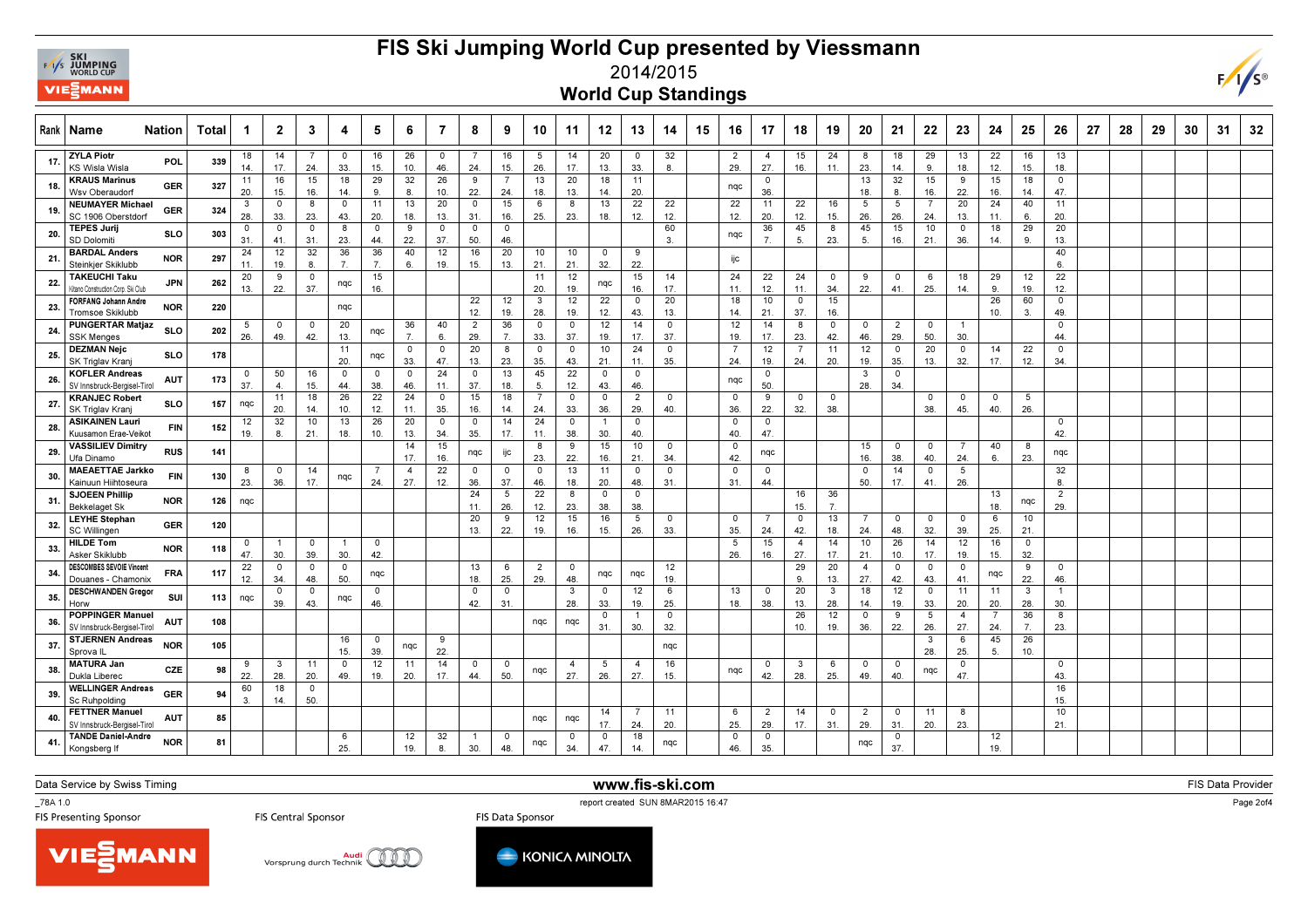

## FIS Ski Jumping World Cup presented by Viessmann2014/2015



| Rank | Name                                                            | Nation          | Total | 1                 | $\mathbf{2}$         | 3                                         | 4                              | 5                    | 6                     |                    | 8                     | 9                    | 10                 | 11                | 12                    | 13                    | 14                             | 15 | 16                      | 17                    | 18                          | 19                   | 20                          | 21                       | 22                   | 23                    | 24                    | 25                       | 26                    | 27 | 28 | 29 | 30 | 31 | 32 |
|------|-----------------------------------------------------------------|-----------------|-------|-------------------|----------------------|-------------------------------------------|--------------------------------|----------------------|-----------------------|--------------------|-----------------------|----------------------|--------------------|-------------------|-----------------------|-----------------------|--------------------------------|----|-------------------------|-----------------------|-----------------------------|----------------------|-----------------------------|--------------------------|----------------------|-----------------------|-----------------------|--------------------------|-----------------------|----|----|----|----|----|----|
| 17.  | <b>ZYLA Piotr</b><br>KS Wisla Wisla                             | POL             | 339   | 18<br>14.         | 14<br>17.            | 24.                                       | 0<br>33.                       | 16<br>15.            | 26<br>10.             | $\mathbf 0$<br>46. | 24.                   | 16<br>15.            | 5<br>26.           | 14<br>17.         | 20<br>13.             | 0<br>33.              | 32<br>8.                       |    | $\overline{2}$<br>29.   | $\overline{4}$<br>27. | 15<br>16.                   | 24<br>11.            | 8<br>23.                    | 18<br>14.                | 29<br>9.             | 13<br>18.             | 22<br>12.             | 16<br>15.                | 13<br>18.             |    |    |    |    |    |    |
|      | <b>KRAUS Marinus</b><br>Wsv Oberaudorf                          | <b>GER</b>      | 327   | 11<br>20.         | 16<br>15.            | 15<br>16.                                 | 18<br>14.                      | 29<br>9.             | 32<br>8.              | 26<br>10           | 9<br>22.              | 7<br>24.             | 13<br>18.          | 20<br>13.         | 18<br>14.             | 11<br>20.             |                                |    | nqc                     | 0<br>36.              |                             |                      | 13<br>18.                   | 32<br>8.                 | 15<br>16.            | 9<br>22.              | 15<br>16.             | 18<br>14.                | $\mathsf 0$<br>47.    |    |    |    |    |    |    |
| 19   | <b>NEUMAYER Michael</b><br>SC 1906 Oberstdorf                   | GER             | 324   | 3<br>28.          | 0<br>33.             | 8<br>23.                                  | $\overline{\mathbf{0}}$<br>43. | 11<br>20.            | 13<br>18.             | 20<br>13.          | $\circ$<br>31.        | 15<br>16.            | 6<br>25.           | 8<br>23.          | 13<br>18.             | 22<br>12.             | 22<br>12.                      |    | 22<br>12.               | 11<br>20.             | 22<br>12.                   | 16<br>15.            | 5<br>26.                    | 5<br>26.                 | 7<br>24.             | 20<br>13.             | 24<br>11.             | 40<br>6.                 | 11<br>20.             |    |    |    |    |    |    |
| 20.  | <b>TEPES Jurii</b><br><b>SD Dolomit</b>                         | <b>SLO</b>      | 303   | 0<br>31           | $\circ$<br>41.       | 0<br>31.                                  | 8<br>23.                       | $\mathbf 0$<br>44    | 9<br>22.              | $\mathbf 0$<br>37. | $\circ$<br>50.        | $\mathbf 0$<br>46.   |                    |                   |                       |                       | 60<br>3.                       |    | nqc                     | 36<br>$\overline{7}$  | 45<br>5.                    | 8<br>23.             | 45<br>5.                    | 15<br>16.                | 10<br>21.            | 0<br>36.              | 18<br>14.             | 29<br>9.                 | 20<br>13.             |    |    |    |    |    |    |
| 21   | <b>BARDAL Anders</b><br>Steinkier Skiklubb                      | <b>NOR</b>      | 297   | 24<br>11.         | 12<br>19.            | 32<br>8                                   | 36<br>7.                       | 36<br>$\overline{7}$ | 40<br>6.              | 12<br>19.          | 16<br>15.             | 20<br>13.            | 10<br>21.          | 10<br>21.         | $\mathbf 0$<br>32.    | 9<br>22.              |                                |    | ijc                     |                       |                             |                      |                             |                          |                      |                       |                       |                          | 40<br>6.              |    |    |    |    |    |    |
| 22.  | <b>TAKEUCHI Taku</b><br>Kitano Construction Corp. Ski Club      | <b>JPN</b>      | 262   | 20<br>13.         | 9<br>22.             | $\mathsf 0$<br>37.                        | nqc                            | 15<br>16.            |                       |                    |                       |                      | 11<br>20.          | 12<br>19.         | nqc                   | 15<br>16.             | 14<br>17.                      |    | 24<br>11.               | 22<br>12.             | 24<br>11.                   | $\mathbf 0$<br>34.   | 9<br>22.                    | 0<br>41.                 | 6<br>25.             | 18<br>14.             | 29<br>9.              | 12<br>19.                | 22<br>12.             |    |    |    |    |    |    |
| 23   | <b>FORFANG Johann Andre</b><br>Tromsoe Skiklubb                 | NOR             | 220   |                   |                      |                                           | nqc                            |                      |                       |                    | 22<br>12.             | 12<br>19.            | 3<br>28.           | 12<br>19.         | 22<br>12.             | $\circ$<br>43.        | 20<br>13.                      |    | 18<br>14.               | 10<br>21.             | 0<br>37.                    | 15<br>16.            |                             |                          |                      |                       | 26<br>10.             | 60<br>3.                 | $\mathsf{o}$<br>49.   |    |    |    |    |    |    |
| -24  | <b>PUNGERTAR Matjaz</b><br><b>SSK Menges</b>                    | SL <sub>O</sub> | 202   | 5<br>26.          | $\Omega$<br>49.      | $\circ$<br>42.                            | 20<br>13.                      | nqc                  | 36                    | 40<br>6.           | $\overline{2}$<br>29. | 36<br>$\overline{7}$ | $\circ$<br>33.     | $^{\circ}$<br>37. | 12<br>19.             | 14<br>17.             | $\overline{\mathbf{0}}$<br>37. |    | 12<br>19.               | 14<br>17.             | 8<br>23.                    | $\mathbf 0$<br>42.   | $\circ$<br>46.              | $\overline{2}$<br>29.    | $\mathbf 0$<br>50.   | -1<br>30.             |                       |                          | $\mathbf 0$<br>44     |    |    |    |    |    |    |
| 25   | <b>DEZMAN Nejc</b><br>SK Triglav Kranj                          | <b>SLO</b>      | 178   |                   |                      |                                           | 11<br>20.                      | nqc                  | $\mathbf 0$<br>33.    | $\mathbf 0$<br>47. | 20<br>13.             | 8<br>23.             | $\mathbf 0$<br>35. | $^{\circ}$<br>43. | 10<br>21.             | 24<br>11.             | $\mathbf 0$<br>35.             |    | $\overline{7}$<br>24.   | 12<br>19.             | $\overline{7}$<br>24.       | 11<br>20.            | 12<br>19.                   | $\circ$<br>35.           | 20<br>13.            | $^{\circ}$<br>32.     | 14<br>17.             | 22<br>12.                | 0<br>34               |    |    |    |    |    |    |
| 26   | <b>KOFLER Andreas</b><br>SV Innsbruck-Bergisel-Tirol            | <b>AUT</b>      | 173   | $^{\circ}$<br>37. | 50<br>$\overline{4}$ | 16<br>15.                                 | $\overline{\mathbf{0}}$<br>44. | $\Omega$<br>38.      | $\mathbf 0$<br>46.    | 24<br>11.          | $\Omega$<br>37.       | 13<br>18.            | 45<br>5.           | 22<br>12.         | $\Omega$<br>43.       | 0<br>46.              |                                |    | nqc                     | 0<br>50               |                             |                      | 3<br>28.                    | $\mathbf 0$<br>34.       |                      |                       |                       |                          |                       |    |    |    |    |    |    |
| 27   | <b>KRANJEC Robert</b><br>SK Triglav Krani                       | <b>SLO</b>      | 157   | nqc               | 11<br>20.            | 18<br>14.                                 | 26<br>10.                      | 22<br>12.            | 24<br>11.             | $\mathbf 0$<br>35. | 15<br>16.             | 18<br>14.            | 24.                | $\circ$<br>33.    | 0<br>36.              | $\overline{2}$<br>29. | $\overline{0}$<br>40.          |    | $\mathbf 0$<br>36.      | 9<br>22.              | $^{\circ}$<br>32.           | $\mathbf 0$<br>38.   |                             |                          | 0<br>38.             | $\mathbf 0$<br>45.    | $\mathbf 0$<br>40.    | 5<br>26.                 |                       |    |    |    |    |    |    |
| 28   | <b>ASIKAINEN Lauri</b><br>Kuusamon Erae-Veikot                  | <b>FIN</b>      | 152   | 12<br>19.         | 32<br>8              | 10<br>21.                                 | 13<br>18.                      | 26<br>10.            | 20<br>13.             | $\mathbf 0$<br>34. | 0<br>35.              | 14<br>17.            | 24<br>11.          | $\circ$<br>38.    | $\overline{1}$<br>30. | 0<br>40.              |                                |    | $\mathbf 0$<br>40.      | 0<br>47.              |                             |                      |                             |                          |                      |                       |                       |                          | 0<br>42.              |    |    |    |    |    |    |
| 29   | <b>VASSILIEV Dimitry</b><br>Ufa Dinamo                          | <b>RUS</b>      | 141   |                   |                      |                                           |                                |                      | 14<br>17.             | 15<br>16.          | nqc                   | ijc                  | 8<br>23.           | 9<br>22.          | 15<br>16.             | 10<br>21.             | $\mathbf 0$<br>34.             |    | $\mathbf 0$<br>42.      | nqc                   |                             |                      | 15<br>16.                   | $^{\circ}$<br>38.        | $^{\circ}$<br>40.    | 7<br>24.              | 40<br>6.              | -8<br>23.                | nqc                   |    |    |    |    |    |    |
| 30   | <b>MAEAETTAE Jarkko</b><br>Kainuun Hiihtoseura                  | <b>FIN</b>      | 130   | 8<br>23.          | $^{\circ}$<br>36.    | 14<br>17.                                 | nqc                            | -7<br>24.            | $\overline{4}$<br>27. | 22<br>12.          | $^{\circ}$<br>36.     | 0<br>37.             | 0<br>46.           | 13<br>18.         | 11<br>20.             | $\Omega$<br>48.       | $\mathbf 0$<br>31              |    | $\mathbf 0$<br>31.      | $^{\circ}$<br>44.     |                             |                      | $^{\circ}$<br>50.           | 14<br>17.                | 0<br>41.             | 5<br>26.              |                       |                          | 32<br>8.              |    |    |    |    |    |    |
| 31   | <b>SJOEEN Phillip</b><br><b>Bekkelaget Sk</b>                   | <b>NOR</b>      | 126   | nqc               |                      |                                           |                                |                      |                       |                    | 24<br>11              | 5<br>26.             | 22<br>12.          | 8<br>23.          | $\mathbf 0$<br>38.    | $\circ$<br>38.        |                                |    |                         | $\overline{7}$        | 16<br>15.                   | 36<br>$\overline{7}$ |                             |                          |                      |                       | 13<br>18.             | nqc                      | $\overline{2}$<br>29. |    |    |    |    |    |    |
| 32   | <b>LEYHE Stephan</b><br><b>SC Willingen</b><br><b>HILDE Tom</b> | <b>GER</b>      | 120   |                   |                      |                                           | $\overline{1}$                 |                      |                       |                    | 20<br>13.             | 9<br>22.             | 12<br>19.          | 15<br>16.         | 16<br>15.             | 5<br>26.              | $\mathbf 0$<br>33.             |    | $\mathbf 0$<br>35.<br>5 | 24.                   | $\mathsf{o}$<br>42.         | 13<br>18.<br>14      | $\overline{7}$<br>24.<br>10 | $\mathbf 0$<br>48.<br>26 | $\circ$<br>32.<br>14 | $\circ$<br>39.<br>12  | 6<br>25.<br>16        | 10<br>21.<br>$\mathbf 0$ |                       |    |    |    |    |    |    |
| 33   | Asker Skiklubb<br><b>DESCOMBES SEVOIE Vincent</b>               | <b>NOR</b>      | 118   | 0<br>47.<br>22    | -1<br>30.<br>$\circ$ | $\overline{\mathbf{0}}$<br>39.<br>$\circ$ | 30.<br>$\overline{\mathbf{0}}$ | $\mathbf 0$<br>42.   |                       |                    | 13                    | 6                    | $\overline{2}$     | $^{\circ}$        |                       |                       | 12                             |    | 26.                     | 15<br>16.             | $\overline{4}$<br>27.<br>29 | 17.<br>20            | 21.<br>$\overline{4}$       | 10.<br>$\mathbf 0$       | 17.<br>$\circ$       | 19.<br>$\circ$        | 15.                   | 32.<br>9                 | $\Omega$              |    |    |    |    |    |    |
| 34   | Douanes - Chamonix<br><b>DESCHWANDEN Gregor</b>                 | <b>FRA</b>      | 117   | 12.               | 34.<br>$\circ$       | 48.<br>$\circ$                            | 50.                            | nqc<br>$\mathbf 0$   |                       |                    | 18.<br>$\circ$        | 25.<br>0             | 29.                | 48.<br>3          | nqc<br>$^{\circ}$     | nqc<br>12             | 19.<br>6                       |    | 13                      | $\circ$               | 9.<br>20                    | 13.<br>3             | 27.<br>18                   | 42.<br>12                | 43.<br>$\circ$       | 41.<br>11             | nqc<br>11             | 22.<br>$\mathbf{3}$      | 46.                   |    |    |    |    |    |    |
| 35.  | Horw<br><b>POPPINGER Manuel</b>                                 | SUI             | 113   | nqc               | 39.                  | 43.                                       | nqc                            | 46.                  |                       |                    | 42.                   | 31.                  |                    | 28.               | 33.<br>0              | 19.<br>-1             | 25.<br>$\mathbf 0$             |    | 18.                     | 38.                   | 13.<br>26                   | 28.<br>12            | 14.<br>0                    | 19.<br>9                 | 33.<br>5             | 20.<br>$\overline{4}$ | 20.<br>$\overline{7}$ | 28.<br>36                | 30.<br>8              |    |    |    |    |    |    |
| 36   | SV Innsbruck-Bergisel-Tirol<br><b>STJERNEN Andreas</b>          | <b>AUT</b>      | 108   |                   |                      |                                           | 16                             | $\circ$              |                       | 9                  |                       |                      | nqc                | nqc               | 31.                   | 30.                   | 32.                            |    |                         |                       | 10.                         | 19.                  | 36.                         | 22.                      | 26.<br>3             | 27<br>6               | 24.<br>45             | 7 <sub>1</sub><br>26     | 23.                   |    |    |    |    |    |    |
| 37   | Sprova IL<br><b>MATURA Jan</b>                                  | <b>NOR</b>      | 105   | 9                 | $\mathbf{3}$         | 11                                        | 15.<br>$\overline{\mathbf{0}}$ | 39.<br>12            | nqc                   | 22.<br>14          | $^{\circ}$            | 0                    |                    | 4                 | 5                     |                       | nqc<br>16                      |    |                         | 0                     |                             | 6                    | 0                           | $\circ$                  | 28.                  | 25.<br>0              | 5.                    | 10.                      | 0                     |    |    |    |    |    |    |
| 38.  | Dukla Liberec<br><b>WELLINGER Andreas</b>                       | CZE             | 98    | 22.<br>60         | 28.<br>18            | 20.<br>0                                  | 49.                            | 19.                  | 11<br>20.             | 17.                | 44.                   | 50.                  | nqc                | 27.               | 26.                   | -4<br>27.             | 15.                            |    | nqc                     | 42.                   | 3<br>28.                    | 25.                  | 49.                         | 40.                      | nqc                  | 47.                   |                       |                          | 43.<br>16             |    |    |    |    |    |    |
| -39  | Sc Ruhpolding<br><b>FETTNER Manuel</b>                          | <b>GER</b>      | 94    | 3                 | 14.                  | 50.                                       |                                |                      |                       |                    |                       |                      |                    |                   | 14                    |                       | 11                             |    | 6                       | 2                     | 14                          | $\circ$              | $\overline{2}$              | 0                        | 11                   | 8                     |                       |                          | 15.<br>10             |    |    |    |    |    |    |
| 40   | SV Innsbruck-Bergisel-Tirol<br><b>TANDE Daniel-Andre</b>        | <b>AUT</b>      | 85    |                   |                      |                                           | 6                              |                      | 12                    | 32                 | $\overline{1}$        | 0                    | nqc                | nqc<br>0          | 17.<br>0              | 24.<br>18             | 20.                            |    | 25.<br>$\mathbf 0$      | 29.<br>0              | 17.                         | 31.                  | 29.                         | 31.<br>0                 | 20.                  | 23.                   | 12                    |                          | 21.                   |    |    |    |    |    |    |
| 41   | Kongsberg It                                                    | <b>NOR</b>      | 81    |                   |                      |                                           | 25.                            |                      | 19.                   | 8                  | 30.                   | 48.                  | nqc                | 34.               | 47.                   | 14.                   | nqc                            |    | 46.                     | 35.                   |                             |                      | nqc                         | 37.                      |                      |                       | 19.                   |                          |                       |    |    |    |    |    |    |

Data Service by Swiss Timing

\_78A 1.0

report created SUN 8MAR2015 16:47<br>FIS Presenting Sponsor FIS Central Sponsor FIS Central Sponsor FIS Data Sponsor

www.fis-ski.com

**m** FIS Data Provider<br>Si<sup>ne 47</sup> Provider







Page 2of4

 $F/I/S^{\circ}$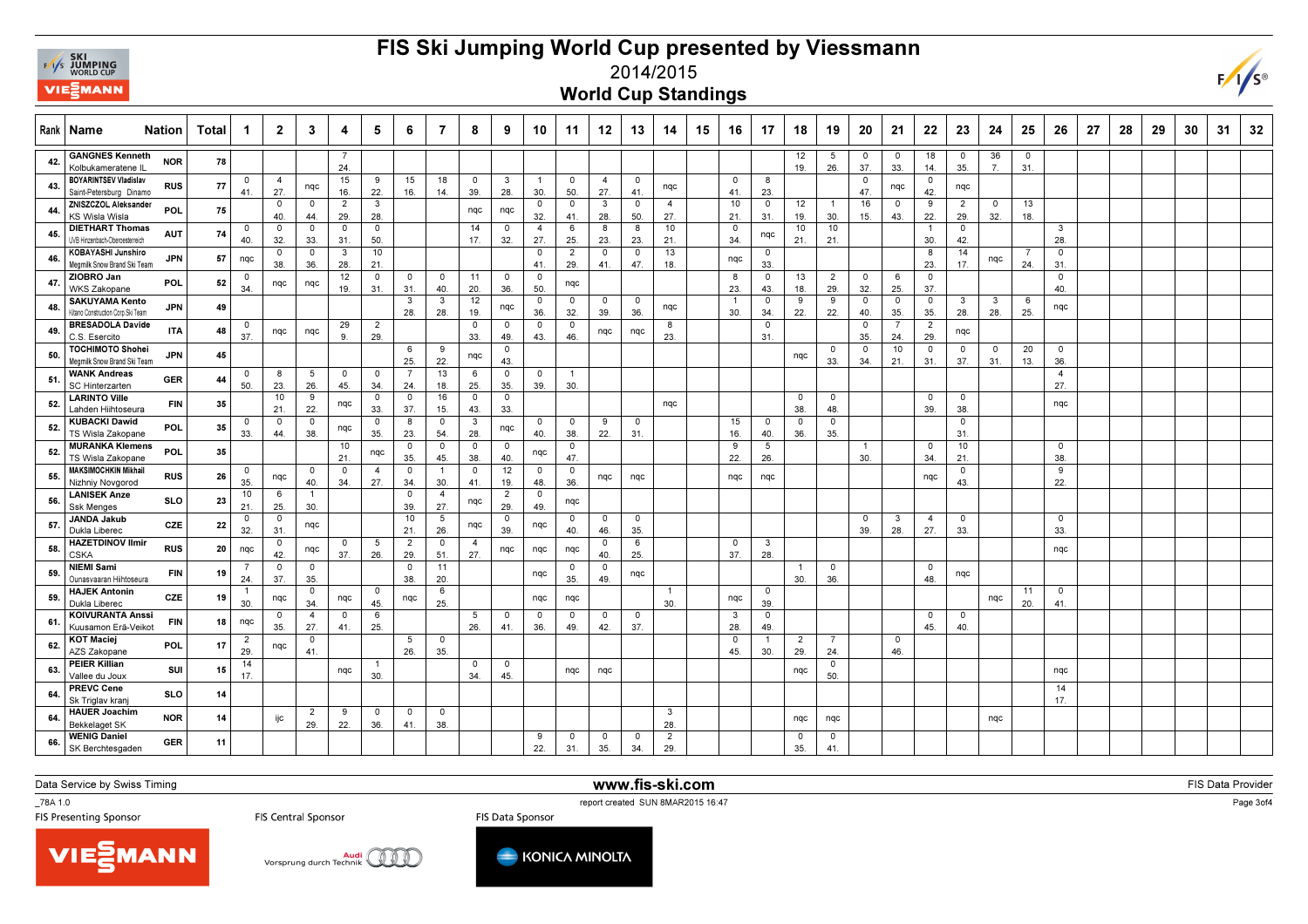

## FIS Ski Jumping World Cup presented by Viessmann



2014/2015

World Cup Standings

| Rank           | Name                                                          | <b>Nation</b> | Total | -1                    | $\mathbf{2}$       | 3                     | 4                     | 5                 | 6.                    | 7                              | 8                              | 9                     | 10                    | 11                 | 12                 | 13                 | 14                    | 15 | 16                    | -17                   | 18                    | 19                    | 20                 | 21                             | 22                      | 23                    | 24         | 25                 | 26                    | 27 | 28 | 29 | 30 | 31 | 32 |
|----------------|---------------------------------------------------------------|---------------|-------|-----------------------|--------------------|-----------------------|-----------------------|-------------------|-----------------------|--------------------------------|--------------------------------|-----------------------|-----------------------|--------------------|--------------------|--------------------|-----------------------|----|-----------------------|-----------------------|-----------------------|-----------------------|--------------------|--------------------------------|-------------------------|-----------------------|------------|--------------------|-----------------------|----|----|----|----|----|----|
|                | <b>GANGNES Kenneth</b><br>Kolbukameratene IL                  | <b>NOR</b>    | 78    |                       |                    |                       | 7<br>24.              |                   |                       |                                |                                |                       |                       |                    |                    |                    |                       |    |                       |                       | 12<br>19.             | 5<br>26.              | 0<br>37.           | $\overline{0}$<br>33.          | 18<br>14.               | $\mathbf 0$<br>35.    | 36<br>7.   | $\mathsf{o}$<br>31 |                       |    |    |    |    |    |    |
|                | <b>BOYARINTSEV Vladislav</b><br>Saint-Petersburg Dinamo       | <b>RUS</b>    | 77    | $\circ$<br>41.        | 4<br>27            | nqc                   | 15<br>16.             | 9<br>22.          | 15<br>16.             | 18<br>14.                      | $\mathbf 0$<br>39.             | 3<br>28.              | $\overline{1}$<br>30. | $\circ$<br>50.     | 4<br>27.           | $\mathbf 0$<br>41. | nqc                   |    | $^{\circ}$<br>41.     | -8<br>23              |                       |                       | $\mathbf 0$<br>47. | nqc                            | $\mathbf 0$<br>42.      | nqc                   |            |                    |                       |    |    |    |    |    |    |
| $\overline{a}$ | ZNISZCZOL Aleksander<br>KS Wisla Wisla                        | <b>POL</b>    | 75    |                       | 0<br>40.           | $\mathbf 0$<br>44.    | $\overline{2}$<br>29. | 3<br>28.          |                       |                                | ngc                            | nqc                   | $\mathbf 0$<br>32.    | 0<br>41.           | 3<br>28.           | 0<br>50.           | $\overline{4}$<br>27. |    | 10<br>21              | $\mathbf 0$<br>31.    | 12<br>19.             | $\overline{1}$<br>30. | 16<br>15.          | $\overline{0}$<br>43.          | 9<br>22.                | $\overline{2}$<br>29. | 0<br>32.   | 13<br>18.          |                       |    |    |    |    |    |    |
| 45             | <b>DIETHART Thomas</b><br>JVB Hinzenbach-Oberoesterreich      | <b>AUT</b>    | 74    | 0<br>40.              | 0<br>32.           | $\mathbf 0$<br>33.    | 0<br>31.              | 0<br>50.          |                       |                                | 14<br>17.                      | 0<br>32.              | $\overline{4}$<br>27. | 6<br>25.           | 8<br>23.           | 8<br>23.           | 10<br>21.             |    | $\mathbf 0$<br>34     | nqc                   | 10<br>21.             | 10<br>21.             |                    |                                | $\overline{1}$<br>30.   | $\mathbf 0$<br>42.    |            |                    | 3<br>28.              |    |    |    |    |    |    |
|                | KOBAYASHI Junshiro<br>Megmilk Snow Brand Ski Team             | <b>JPN</b>    | 57    | nqc                   | $\mathbf 0$<br>38. | $\circ$<br>36.        | $\mathbf{3}$<br>28.   | 10<br>21.         |                       |                                |                                |                       | $\Omega$<br>41.       | 2<br>29.           | $\mathbf 0$<br>41. | $\mathbf 0$<br>47. | 13<br>18.             |    | nqc                   | $\mathbf 0$<br>33.    |                       |                       |                    |                                | 8<br>23.                | 14<br>17.             | nqc        | 24.                | $\mathsf{o}$<br>31.   |    |    |    |    |    |    |
|                | ZIOBRO Jan<br><b>WKS Zakopane</b>                             | <b>POL</b>    | 52    | $\circ$<br>34         | nqc                | nqc                   | 12<br>19.             | 0<br>31.          | 0<br>31.              | $\mathbf 0$<br>40.             | 11<br>20.                      | 0<br>36.              | $\mathbf 0$<br>50.    | nqc                |                    |                    |                       |    | 8<br>23.              | 0<br>43.              | 13<br>18.             | $\overline{2}$<br>29. | 0<br>32.           | 6<br>25.                       | $\mathbf 0$<br>37.      |                       |            |                    | 0<br>40.              |    |    |    |    |    |    |
|                | <b>SAKUYAMA Kento</b>                                         | <b>JPN</b>    | 49    |                       |                    |                       |                       |                   | 3<br>28.              | 3<br>28.                       | 12<br>19.                      | nqc                   | $\Omega$<br>36.       | 0<br>32.           | $\circ$<br>39.     | $\mathbf 0$<br>36. | nqc                   |    | $\overline{1}$<br>30. | 0<br>34.              | 9<br>22.              | 9<br>22.              | 0<br>40.           | $\mathbf 0$                    | $\mathbf 0$<br>35.      | 3<br>28.              | 3<br>28.   | 6<br>25.           | nqc                   |    |    |    |    |    |    |
| 49             | Kitano Construction Corp. Ski Team<br><b>BRESADOLA Davide</b> | <b>ITA</b>    | 48    | $\mathbf 0$           | nqc                | nqc                   | 29                    | 2                 |                       |                                | $\overline{\mathbf{0}}$        | $\mathbf 0$           | $\Omega$              | $\mathbf 0$        | ngc                | nqc                | 8                     |    |                       | $\mathsf{o}$          |                       |                       | $\mathbf 0$        | 35.<br>$\overline{7}$          | 2                       | nqc                   |            |                    |                       |    |    |    |    |    |    |
| 50             | C.S. Esercito<br>TOCHIMOTO Shohei                             | <b>JPN</b>    | 45    | 37.                   |                    |                       | 9                     | 29.               | 6                     | -9                             | 33.<br>nqc                     | 49.<br>0              | 43.                   | 46.                |                    |                    | 23.                   |    |                       | 31                    | nqc                   | $^{\circ}$            | 35.<br>0           | 24.<br>10                      | 29.<br>$\mathbf 0$      | $\mathbf 0$           | $^{\circ}$ | 20                 | 0                     |    |    |    |    |    |    |
| -51            | Megmilk Snow Brand Ski Team<br><b>WANK Andreas</b>            | <b>GER</b>    | 44    | $\mathbf 0$           | 8                  | 5                     | $^{\circ}$            | $^{\circ}$        | 25.<br>- 7            | 22.<br>13                      | 6                              | 43.<br>0              | $\mathbf 0$           | $\overline{1}$     |                    |                    |                       |    |                       |                       |                       | 33.                   | 34.                | 21.                            | 31.                     | 37.                   | 31.        | 13.                | 36.<br>$\overline{4}$ |    |    |    |    |    |    |
| 52             | <b>SC Hinterzarten</b><br><b>LARINTO Ville</b>                | FIN           | 35    | 50.                   | 23.<br>10          | 26.<br>9              | 45.<br>nqc            | 34.<br>0          | 24.<br>$\mathbf 0$    | 18.<br>16                      | 25.<br>$\mathbf 0$             | 35.<br>0              | 39.                   | 30.                |                    |                    | nqc                   |    |                       |                       | 0                     | $\mathbf{0}$          |                    |                                | $\mathbf 0$             | $\mathbf 0$           |            |                    | 27.<br>nqc            |    |    |    |    |    |    |
| 52             | Lahden Hiihtoseura<br><b>KUBACKI Dawid</b>                    | POL           | 35    | 0                     | 21.<br>$^{\circ}$  | 22.<br>$\Omega$       | nqc                   | 33.<br>0          | 37<br>8               | 15.<br>0                       | 43.<br>$\overline{3}$          | 33.<br>nqc            | $\Omega$              | $\mathbf 0$        | 9                  | $\Omega$           |                       |    | 15                    | $\Omega$              | 38.<br>$\mathbf 0$    | 48.<br>$\mathbf 0$    |                    |                                | 39.                     | 38.<br>$\mathbf 0$    |            |                    |                       |    |    |    |    |    |    |
| 52             | TS Wisla Zakopane<br><b>MURANKA Klemens</b>                   | POL           | 35    | 33.                   | 44.                | 38.                   | 10                    | 35.<br>ngc        | 23.<br>$\mathbf 0$    | 54.<br>$\Omega$                | 28.<br>$\overline{\mathbf{0}}$ | $\mathbf 0$           | 40.                   | 38.<br>$\mathbf 0$ | 22.                | 31.                |                       |    | 16.<br>9              | 40.<br>5              | 36.                   | 35.                   | $\overline{1}$     |                                | $\mathbf 0$             | 31.<br>10             |            |                    | $\circ$               |    |    |    |    |    |    |
|                | TS Wisla Zakopane<br>MAKSIMOCHKIN Mikhail                     |               |       | $\circ$               |                    | $^{\circ}$            | 21.<br>$^{\circ}$     | $\overline{4}$    | 35.<br>0              | 45.<br>$\overline{1}$          | 38.<br>$\mathbf 0$             | 40.<br>12             | nqc<br>$\mathbf 0$    | 47.<br>$\circ$     |                    |                    |                       |    | 22.                   | 26.                   |                       |                       | 30.                |                                | 34                      | 21.<br>$\mathbf 0$    |            |                    | 38.<br>9              |    |    |    |    |    |    |
| 55             | Nizhniy Novgorod<br><b>LANISEK Anze</b>                       | <b>RUS</b>    | 26    | 35.<br>10             | nqc<br>-6          | 40.                   | 34.                   | 27.               | 34.<br>$\mathbf 0$    | 30.<br>$\overline{4}$          | 41.                            | 19.<br>$\overline{2}$ | 48.<br>$\circ$        | 36.                | nqc                | nqc                |                       |    | nqc                   | nqc                   |                       |                       |                    |                                | nqc                     | 43.                   |            |                    | 22.                   |    |    |    |    |    |    |
| 56             | Ssk Menges<br>JANDA Jakub                                     | <b>SLO</b>    | 23    | 21.<br>$^{\circ}$     | 25.<br>0           | 30.                   |                       |                   | 39.<br>10             | 27.<br>5                       | nqc                            | 29.<br>$^{\circ}$     | 49.                   | nqc<br>$^{\circ}$  | $^{\circ}$         | $\mathbf 0$        |                       |    |                       |                       |                       |                       | $^{\circ}$         | -3                             | -4                      | $^{\circ}$            |            |                    | $^{\circ}$            |    |    |    |    |    |    |
| 57             | Dukla Liberec<br><b>HAZETDINOV Ilmir</b>                      | CZE           | 22    | 32.                   | 31<br>0            | nqc                   | $^{\circ}$            | 5                 | 21.<br>$\overline{2}$ | 26.<br>$\mathsf 0$             | nqc<br>$\overline{4}$          | 39.                   | nqc                   | 40.                | 46.<br>$^{\circ}$  | 35.<br>6           |                       |    | $^{\circ}$            | $\mathbf{3}$          |                       |                       | 39.                | 28.                            | 27.                     | 33.                   |            |                    | 33.                   |    |    |    |    |    |    |
| 58             | CSKA<br>NIEMI Sami                                            | <b>RUS</b>    | 20    | nqc                   | 42.<br>$\mathbf 0$ | nqc<br>$\mathbf 0$    | 37.                   | 26.               | 29.<br>$\mathbf 0$    | 51.<br>11                      | 27.                            | nqc                   | nqc                   | nqc<br>$\mathbf 0$ | 40.<br>$\mathbf 0$ | 25.                |                       |    | 37                    | 28.                   | - 1                   | 0                     |                    |                                | $\overline{\mathbf{0}}$ |                       |            |                    | nqc                   |    |    |    |    |    |    |
| 59             | Ounasvaaran Hiihtoseura<br><b>HAJEK Antonin</b>               | <b>FIN</b>    | 19    | 24.                   | 37.                | 35.<br>$^{\circ}$     |                       | $^{\circ}$        | 38.                   | 20.<br>6                       |                                |                       | nqc                   | 35.                | 49.                | nqc                | -1                    |    |                       | 0                     | 30.                   | 36.                   |                    |                                | 48.                     | nqc                   |            | 11                 | $\circ$               |    |    |    |    |    |    |
| 59             | Dukla Liberec<br><b>KOIVURANTA Anssi</b>                      | CZE           | 19    | 30.                   | nqc                | 34.                   | nqc                   | 45.               | nqc                   | 25.                            |                                | $\mathbf 0$           | nqc                   | nqc                |                    |                    | 30.                   |    | nqc                   | 39                    |                       |                       |                    |                                |                         |                       | nqc        | 20.                | 41.                   |    |    |    |    |    |    |
| 61             | Kuusamon Erä-Veikot                                           | <b>FIN</b>    | 18    | nqc                   | $^{\circ}$<br>35.  | $\overline{4}$<br>27. | 0<br>41.              | 6<br>25.          |                       |                                | 5<br>26.                       | 41.                   | $\mathbf 0$<br>36.    | 0<br>49.           | $\circ$<br>42.     | 0<br>37.           |                       |    | $\mathbf{3}$<br>28.   | 0<br>49.              |                       |                       |                    |                                | 0<br>45.                | $\mathbf 0$<br>40.    |            |                    |                       |    |    |    |    |    |    |
| 62             | KOT Maciej<br>AZS Zakopane                                    | <b>POL</b>    | 17    | $\overline{2}$<br>29. | nqc                | 0<br>41.              |                       |                   | 5<br>26.              | $\overline{\mathbf{0}}$<br>35. |                                |                       |                       |                    |                    |                    |                       |    | $\mathbf 0$<br>45.    | $\overline{1}$<br>30. | $\overline{2}$<br>29. | 7<br>24.              |                    | $\overline{\mathbf{0}}$<br>46. |                         |                       |            |                    |                       |    |    |    |    |    |    |
| 63             | <b>PEIER Killian</b><br>Vallee du Joux                        | SUI           | 15    | 14<br>17.             |                    |                       | nqc                   | 30.               |                       |                                | $\overline{0}$<br>34.          | 0<br>45.              |                       | nqc                | nqc                |                    |                       |    |                       |                       | nqc                   | 0<br>50.              |                    |                                |                         |                       |            |                    | nqc                   |    |    |    |    |    |    |
|                | <b>PREVC Cene</b><br>Sk Triglav kran                          | <b>SLO</b>    | 14    |                       |                    |                       |                       |                   |                       |                                |                                |                       |                       |                    |                    |                    |                       |    |                       |                       |                       |                       |                    |                                |                         |                       |            |                    | 14<br>17.             |    |    |    |    |    |    |
|                | <b>HAUER Joachim</b><br><b>Bekkelaget SK</b>                  | <b>NOR</b>    | 14    |                       | ijc                | $\overline{2}$<br>29. | 9<br>22.              | $^{\circ}$<br>36. | 0<br>41.              | 0<br>38.                       |                                |                       |                       |                    |                    |                    | 3<br>28.              |    |                       |                       | nqc                   | nqc                   |                    |                                |                         |                       | nqc        |                    |                       |    |    |    |    |    |    |
| 66.            | <b>WENIG Daniel</b><br>SK Berchtesgaden                       | <b>GER</b>    | 11    |                       |                    |                       |                       |                   |                       |                                |                                |                       | -9<br>22.             | $^{\circ}$<br>31.  | 0<br>35.           | $\Omega$<br>34.    | $\overline{2}$<br>29. |    |                       |                       | $^{\circ}$<br>35.     | 0<br>41.              |                    |                                |                         |                       |            |                    |                       |    |    |    |    |    |    |

Data Service by Swiss Timing

\_78A 1.0

report created SUN 8MAR2015 16:47<br>FIS Presenting Sponsor FIS Central Sponsor FIS Central Sponsor FIS Data Sponsor

www.fis-ski.com

**m** FIS Data Provider<br>Si<sup>ne 47</sup> Provider

Page 3of4